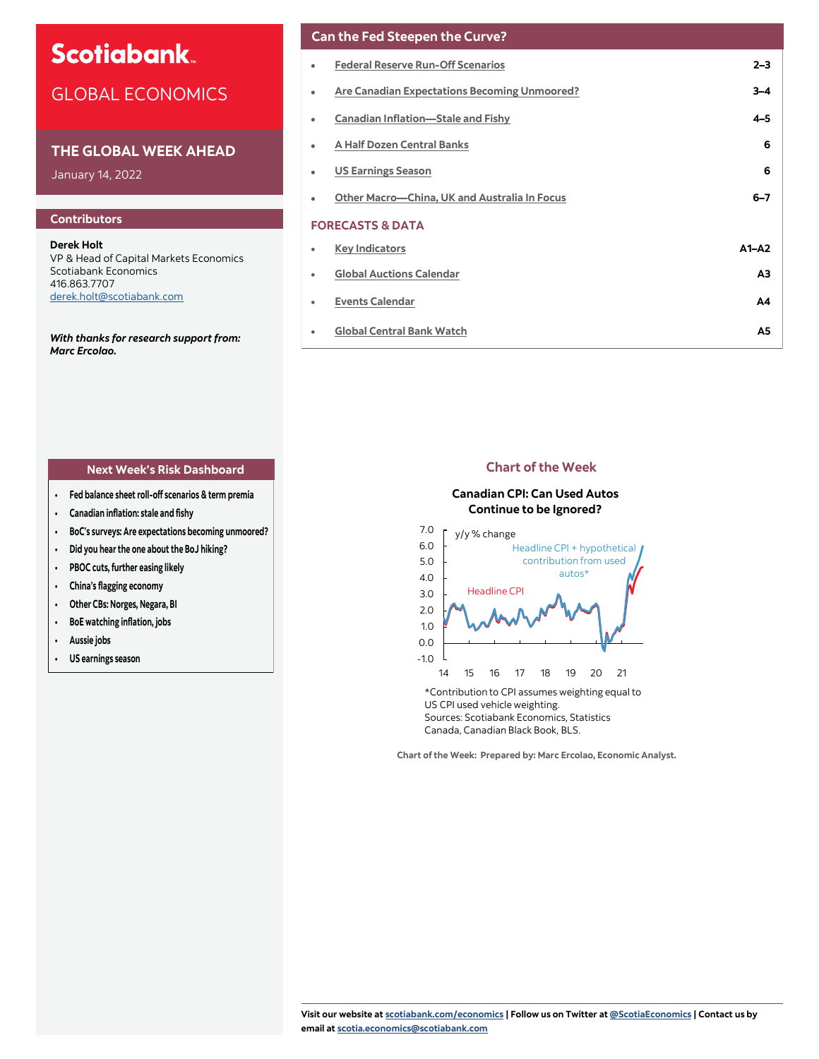# **Scotiabank**

# GLOBAL ECONOMICS

# **THE GLOBAL WEEK AHEAD**

January 14, 2022

# **Contributors**

**Derek Holt** VP & Head of Capital Markets Economics Scotiabank Economics 416.863.7707 [derek.holt@scotiabank.com](mailto:derek.holt@scotiabank.com)

*With thanks for research support from: Marc Ercolao.* 

# **Can the Fed Steepen the Curve?**

|   | <b>Federal Reserve Run-Off Scenarios</b>     | $2 - 3$                |
|---|----------------------------------------------|------------------------|
| ۰ | Are Canadian Expectations Becoming Unmoored? | 3–4                    |
| ٠ | <b>Canadian Inflation-Stale and Fishy</b>    | 4-5                    |
| ۰ | <b>A Half Dozen Central Banks</b>            | 6                      |
|   | <b>US Earnings Season</b>                    | 6                      |
|   | Other Macro-China, UK and Australia In Focus | $6 - 7$                |
|   | <b>FORECASTS &amp; DATA</b>                  |                        |
| ٠ | <b>Key Indicators</b>                        | $\Delta$ 1- $\Delta$ 2 |
| ٠ | <b>Global Auctions Calendar</b>              | ΑЗ                     |
| ٠ | <b>Events Calendar</b>                       | А4                     |
|   | <b>Global Central Bank Watch</b>             | A5                     |
|   |                                              |                        |

# **Next Week's Risk Dashboard Chart of the Week**

- **Fed balance sheet roll-off scenarios & term premia**
- **Canadian inflation: stale and fishy**
- **BoC's surveys: Are expectations becoming unmoored?**
- **Did you hear the one about the BoJ hiking?**
- **PBOC cuts, further easing likely**
- **China's flagging economy**
- **Other CBs: Norges, Negara, BI**
- **BoE watching inflation, jobs**
- **Aussie jobs**
- **US earnings season**

# **Canadian CPI: Can Used Autos Continue to be Ignored?**



\*Contribution to CPI assumes weighting equal to US CPI used vehicle weighting. Sources: Scotiabank Economics, Statistics Canada, Canadian Black Book, BLS.

**Chart of the Week: Prepared by: Marc Ercolao, Economic Analyst.**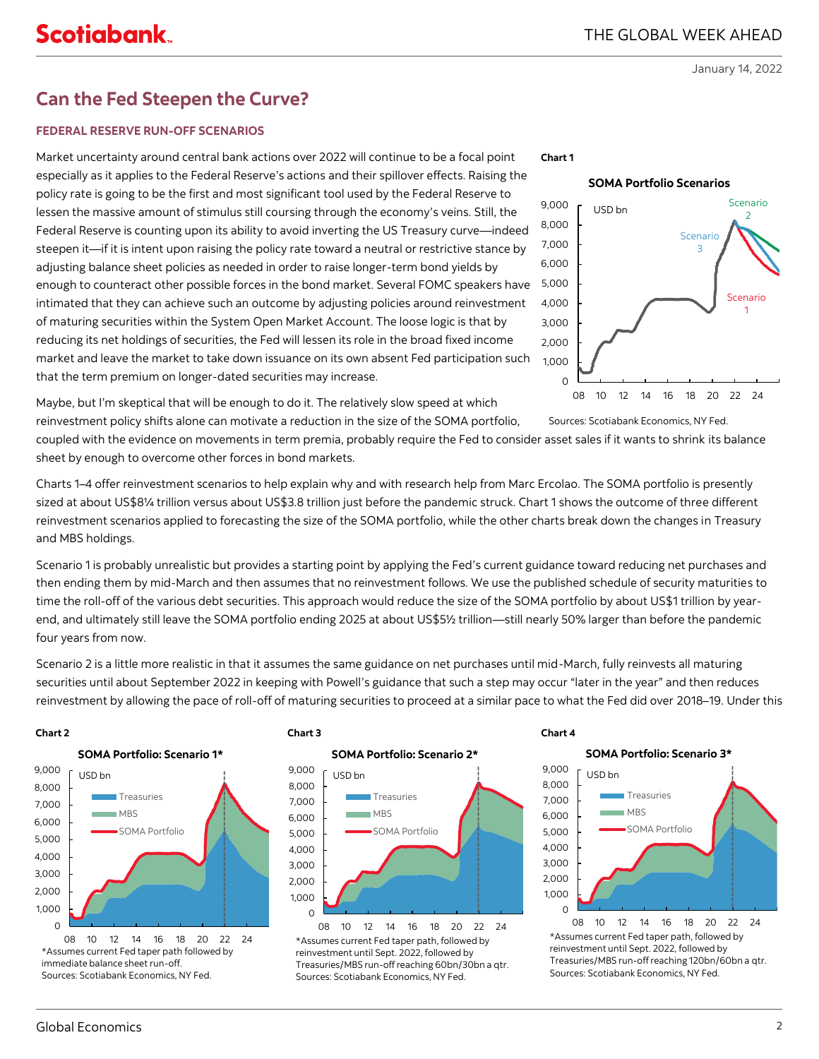# <span id="page-1-0"></span>**Can the Fed Steepen the Curve?**

# **FEDERAL RESERVE RUN-OFF SCENARIOS**

Market uncertainty around central bank actions over 2022 will continue to be a focal point especially as it applies to the Federal Reserve's actions and their spillover effects. Raising the policy rate is going to be the first and most significant tool used by the Federal Reserve to lessen the massive amount of stimulus still coursing through the economy's veins. Still, the Federal Reserve is counting upon its ability to avoid inverting the US Treasury curve—indeed steepen it—if it is intent upon raising the policy rate toward a neutral or restrictive stance by adjusting balance sheet policies as needed in order to raise longer-term bond yields by enough to counteract other possible forces in the bond market. Several FOMC speakers have intimated that they can achieve such an outcome by adjusting policies around reinvestment of maturing securities within the System Open Market Account. The loose logic is that by reducing its net holdings of securities, the Fed will lessen its role in the broad fixed income market and leave the market to take down issuance on its own absent Fed participation such that the term premium on longer-dated securities may increase.



**Chart 1**



Sources: Scotiabank Economics, NY Fed.

Maybe, but I'm skeptical that will be enough to do it. The relatively slow speed at which reinvestment policy shifts alone can motivate a reduction in the size of the SOMA portfolio,

coupled with the evidence on movements in term premia, probably require the Fed to consider asset sales if it wants to shrink its balance sheet by enough to overcome other forces in bond markets.

Charts 1–4 offer reinvestment scenarios to help explain why and with research help from Marc Ercolao. The SOMA portfolio is presently sized at about US\$8¼ trillion versus about US\$3.8 trillion just before the pandemic struck. Chart 1 shows the outcome of three different reinvestment scenarios applied to forecasting the size of the SOMA portfolio, while the other charts break down the changes in Treasury and MBS holdings.

Scenario 1 is probably unrealistic but provides a starting point by applying the Fed's current guidance toward reducing net purchases and then ending them by mid-March and then assumes that no reinvestment follows. We use the published schedule of security maturities to time the roll-off of the various debt securities. This approach would reduce the size of the SOMA portfolio by about US\$1 trillion by yearend, and ultimately still leave the SOMA portfolio ending 2025 at about US\$5½ trillion—still nearly 50% larger than before the pandemic four years from now.

Scenario 2 is a little more realistic in that it assumes the same guidance on net purchases until mid-March, fully reinvests all maturing securities until about September 2022 in keeping with Powell's guidance that such a step may occur "later in the year" and then reduces reinvestment by allowing the pace of roll-off of maturing securities to proceed at a similar pace to what the Fed did over 2018–19. Under this

### **Chart 2 Chart 3**





immediate balance sheet run-off. Sources: Scotiabank Economics, NY Fed.





\*Assumes current Fed taper path, followed by reinvestment until Sept. 2022, followed by Treasuries/MBS run-off reaching 60bn/30bn a qtr. Sources: Scotiabank Economics, NY Fed.

### **Chart 4**





\*Assumes current Fed taper path, followed by reinvestment until Sept. 2022, followed by Treasuries/MBS run-off reaching 120bn/60bn a qtr. Sources: Scotiabank Economics, NY Fed.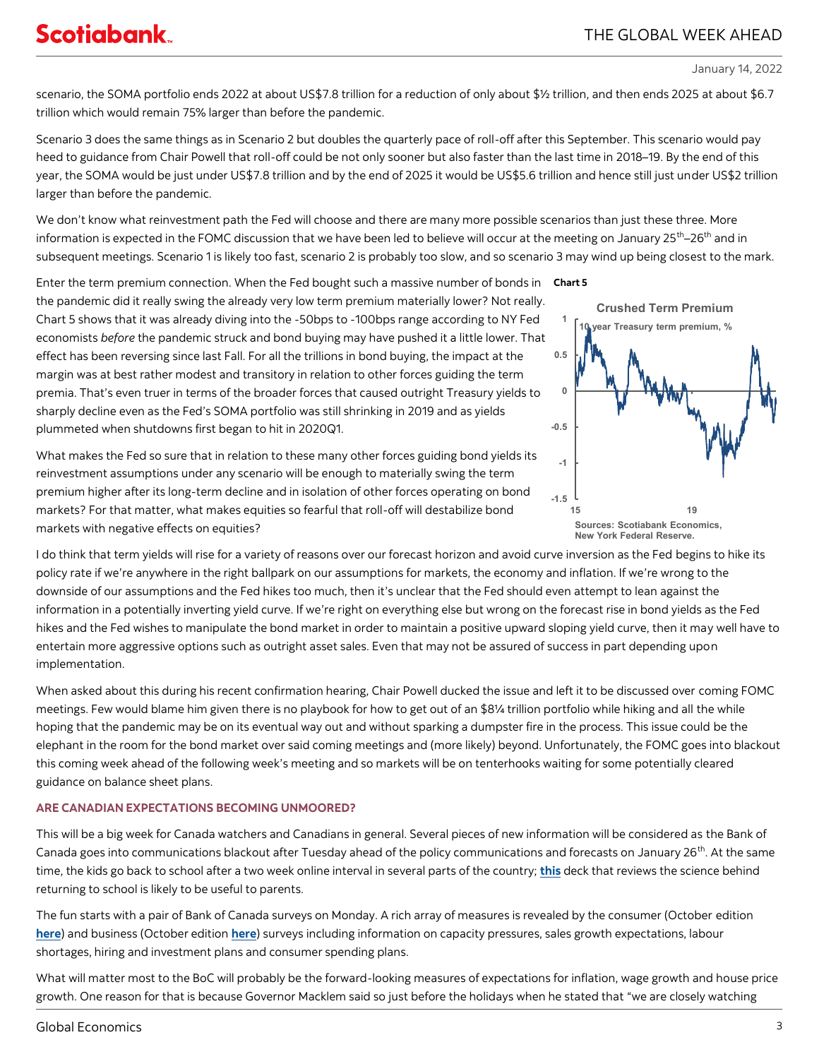<span id="page-2-0"></span>scenario, the SOMA portfolio ends 2022 at about US\$7.8 trillion for a reduction of only about \$½ trillion, and then ends 2025 at about \$6.7 trillion which would remain 75% larger than before the pandemic.

Scenario 3 does the same things as in Scenario 2 but doubles the quarterly pace of roll-off after this September. This scenario would pay heed to guidance from Chair Powell that roll-off could be not only sooner but also faster than the last time in 2018–19. By the end of this year, the SOMA would be just under US\$7.8 trillion and by the end of 2025 it would be US\$5.6 trillion and hence still just under US\$2 trillion larger than before the pandemic.

We don't know what reinvestment path the Fed will choose and there are many more possible scenarios than just these three. More information is expected in the FOMC discussion that we have been led to believe will occur at the meeting on January 25<sup>th</sup>–26<sup>th</sup> and in subsequent meetings. Scenario 1 is likely too fast, scenario 2 is probably too slow, and so scenario 3 may wind up being closest to the mark.

Enter the term premium connection. When the Fed bought such a massive number of bonds in **Chart 5** the pandemic did it really swing the already very low term premium materially lower? Not really. Chart 5 shows that it was already diving into the -50bps to -100bps range according to NY Fed economists *before* the pandemic struck and bond buying may have pushed it a little lower. That effect has been reversing since last Fall. For all the trillions in bond buying, the impact at the margin was at best rather modest and transitory in relation to other forces guiding the term premia. That's even truer in terms of the broader forces that caused outright Treasury yields to sharply decline even as the Fed's SOMA portfolio was still shrinking in 2019 and as yields plummeted when shutdowns first began to hit in 2020Q1.

What makes the Fed so sure that in relation to these many other forces guiding bond yields its reinvestment assumptions under any scenario will be enough to materially swing the term premium higher after its long-term decline and in isolation of other forces operating on bond markets? For that matter, what makes equities so fearful that roll-off will destabilize bond markets with negative effects on equities?



I do think that term yields will rise for a variety of reasons over our forecast horizon and avoid curve inversion as the Fed begins to hike its policy rate if we're anywhere in the right ballpark on our assumptions for markets, the economy and inflation. If we're wrong to the downside of our assumptions and the Fed hikes too much, then it's unclear that the Fed should even attempt to lean against the information in a potentially inverting yield curve. If we're right on everything else but wrong on the forecast rise in bond yields as the Fed hikes and the Fed wishes to manipulate the bond market in order to maintain a positive upward sloping yield curve, then it may well have to entertain more aggressive options such as outright asset sales. Even that may not be assured of success in part depending upon implementation.

When asked about this during his recent confirmation hearing, Chair Powell ducked the issue and left it to be discussed over coming FOMC meetings. Few would blame him given there is no playbook for how to get out of an \$8¼ trillion portfolio while hiking and all the while hoping that the pandemic may be on its eventual way out and without sparking a dumpster fire in the process. This issue could be the elephant in the room for the bond market over said coming meetings and (more likely) beyond. Unfortunately, the FOMC goes into blackout this coming week ahead of the following week's meeting and so markets will be on tenterhooks waiting for some potentially cleared guidance on balance sheet plans.

# **ARE CANADIAN EXPECTATIONS BECOMING UNMOORED?**

This will be a big week for Canada watchers and Canadians in general. Several pieces of new information will be considered as the Bank of Canada goes into communications blackout after Tuesday ahead of the policy communications and forecasts on January 26<sup>th</sup>. At the same time, the kids go back to school after a two week online interval in several parts of the country; **[this](https://covid19-sciencetable.ca/wp-content/uploads/2022/01/Ontario-Returns-to-School-An-Overview-of-the-Science_20220112-1.pdf)** deck that reviews the science behind returning to school is likely to be useful to parents.

The fun starts with a pair of Bank of Canada surveys on Monday. A rich array of measures is revealed by the consumer (October edition **[here](https://www.bankofcanada.ca/2021/10/canadian-survey-of-consumer-expectations-third-quarter-of-2021/)**) and business (October edition **[here](https://www.bankofcanada.ca/publications/bos/business-outlook-survey-data/)**) surveys including information on capacity pressures, sales growth expectations, labour shortages, hiring and investment plans and consumer spending plans.

What will matter most to the BoC will probably be the forward-looking measures of expectations for inflation, wage growth and house price growth. One reason for that is because Governor Macklem said so just before the holidays when he stated that "we are closely watching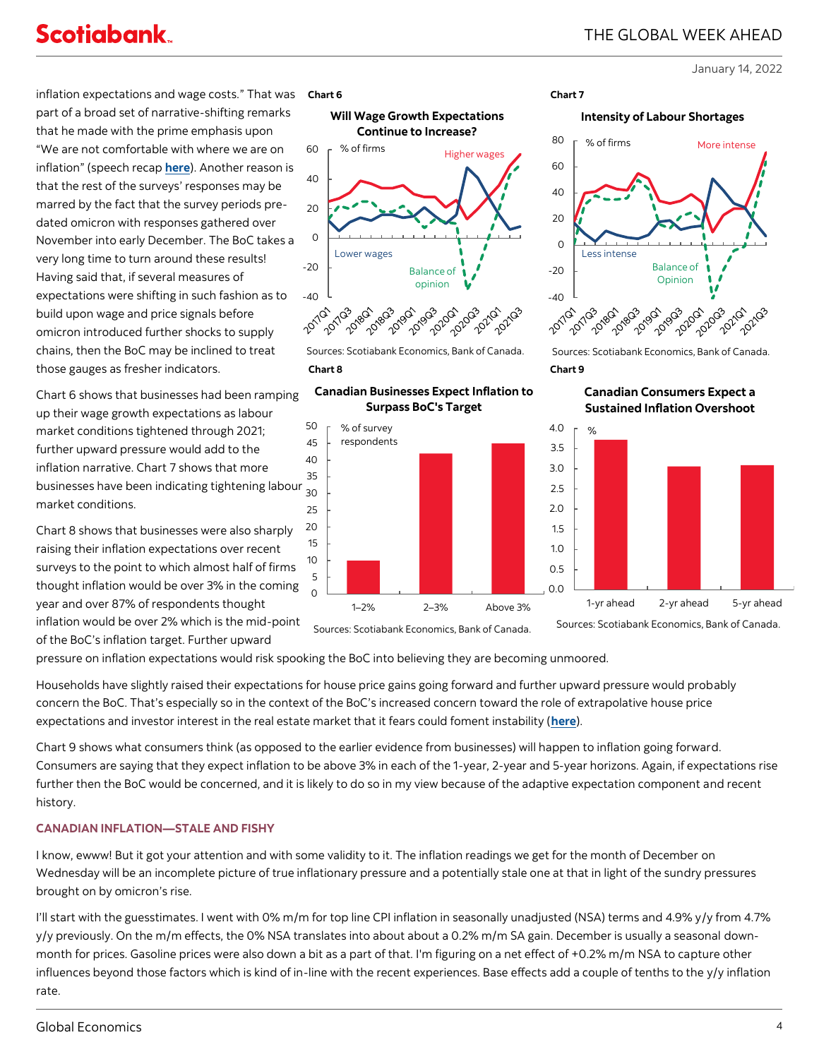<span id="page-3-0"></span>**Scotiabank** 

January 14, 2022

inflation expectations and wage costs." That was part of a broad set of narrative-shifting remarks that he made with the prime emphasis upon "We are not comfortable with where we are on inflation" (speech recap **[here](https://www.scotiabank.com/ca/en/about/economics/economics-publications/post.other-publications.economic-indicators.scotia-flash.-december-15--2021--1.html)**). Another reason is that the rest of the surveys' responses may be marred by the fact that the survey periods predated omicron with responses gathered over November into early December. The BoC takes a very long time to turn around these results! Having said that, if several measures of expectations were shifting in such fashion as to build upon wage and price signals before omicron introduced further shocks to supply chains, then the BoC may be inclined to treat those gauges as fresher indicators.

Chart 6 shows that businesses had been ramping up their wage growth expectations as labour market conditions tightened through 2021; further upward pressure would add to the inflation narrative. Chart 7 shows that more businesses have been indicating tightening labour market conditions.

Chart 8 shows that businesses were also sharply raising their inflation expectations over recent surveys to the point to which almost half of firms thought inflation would be over 3% in the coming year and over 87% of respondents thought inflation would be over 2% which is the mid-point

of the BoC's inflation target. Further upward







**Chart 8 Chart 9**  Sources: Scotiabank Economics, Bank of Canada.









Sources: Scotiabank Economics, Bank of Canada.

**Canadian Consumers Expect a Sustained Inflation Overshoot**



Sources: Scotiabank Economics, Bank of Canada.

pressure on inflation expectations would risk spooking the BoC into believing they are becoming unmoored.

Households have slightly raised their expectations for house price gains going forward and further upward pressure would probably concern the BoC. That's especially so in the context of the BoC's increased concern toward the role of extrapolative house price expectations and investor interest in the real estate market that it fears could foment instability (**[here](https://www.bankofcanada.ca/2022/01/staff-analytical-note-2022-1/)**).

Chart 9 shows what consumers think (as opposed to the earlier evidence from businesses) will happen to inflation going forward. Consumers are saying that they expect inflation to be above 3% in each of the 1-year, 2-year and 5-year horizons. Again, if expectations rise further then the BoC would be concerned, and it is likely to do so in my view because of the adaptive expectation component and recent history.

# **CANADIAN INFLATION—STALE AND FISHY**

I know, ewww! But it got your attention and with some validity to it. The inflation readings we get for the month of December on Wednesday will be an incomplete picture of true inflationary pressure and a potentially stale one at that in light of the sundry pressures brought on by omicron's rise.

I'll start with the guesstimates. I went with 0% m/m for top line CPI inflation in seasonally unadjusted (NSA) terms and 4.9% y/y from 4.7% y/y previously. On the m/m effects, the 0% NSA translates into about about a 0.2% m/m SA gain. December is usually a seasonal downmonth for prices. Gasoline prices were also down a bit as a part of that. I'm figuring on a net effect of +0.2% m/m NSA to capture other influences beyond those factors which is kind of in-line with the recent experiences. Base effects add a couple of tenths to the y/y inflation rate.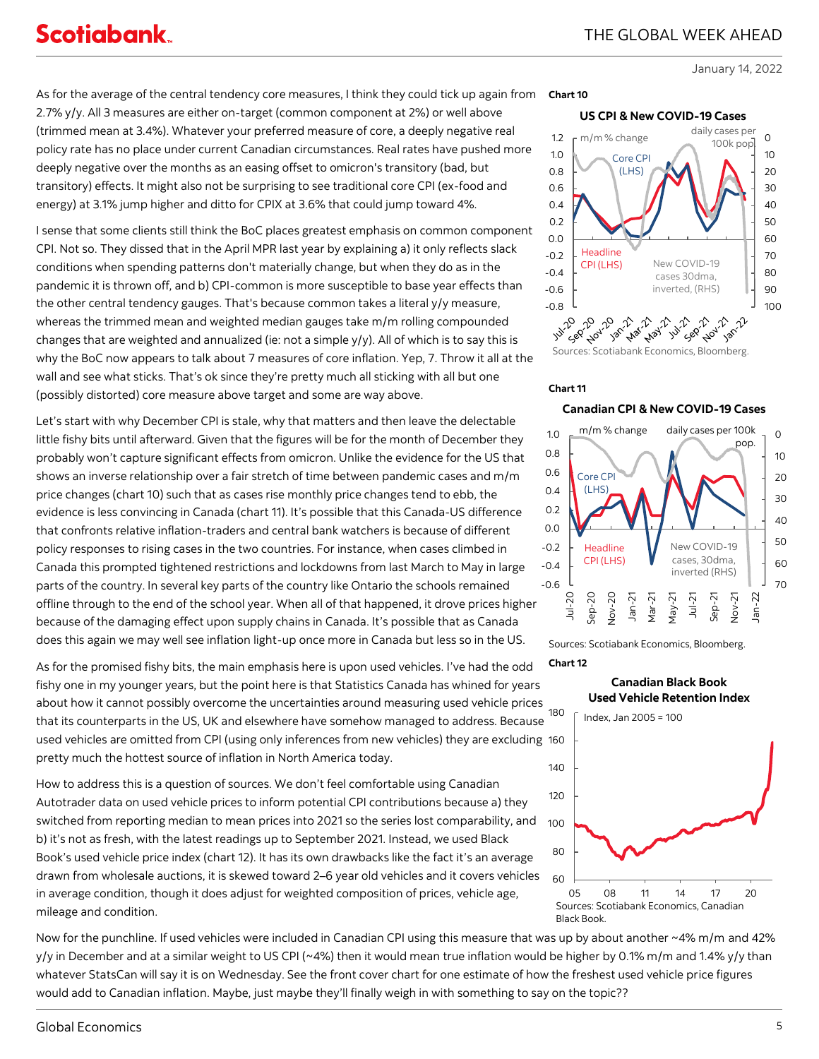As for the average of the central tendency core measures, I think they could tick up again from 2.7% y/y. All 3 measures are either on-target (common component at 2%) or well above (trimmed mean at 3.4%). Whatever your preferred measure of core, a deeply negative real policy rate has no place under current Canadian circumstances. Real rates have pushed more deeply negative over the months as an easing offset to omicron's transitory (bad, but transitory) effects. It might also not be surprising to see traditional core CPI (ex-food and energy) at 3.1% jump higher and ditto for CPIX at 3.6% that could jump toward 4%.

I sense that some clients still think the BoC places greatest emphasis on common component CPI. Not so. They dissed that in the April MPR last year by explaining a) it only reflects slack conditions when spending patterns don't materially change, but when they do as in the pandemic it is thrown off, and b) CPI-common is more susceptible to base year effects than the other central tendency gauges. That's because common takes a literal y/y measure, whereas the trimmed mean and weighted median gauges take m/m rolling compounded changes that are weighted and annualized (ie: not a simple y/y). All of which is to say this is why the BoC now appears to talk about 7 measures of core inflation. Yep, 7. Throw it all at the wall and see what sticks. That's ok since they're pretty much all sticking with all but one (possibly distorted) core measure above target and some are way above.

Let's start with why December CPI is stale, why that matters and then leave the delectable little fishy bits until afterward. Given that the figures will be for the month of December they probably won't capture significant effects from omicron. Unlike the evidence for the US that shows an inverse relationship over a fair stretch of time between pandemic cases and m/m price changes (chart 10) such that as cases rise monthly price changes tend to ebb, the evidence is less convincing in Canada (chart 11). It's possible that this Canada-US difference that confronts relative inflation-traders and central bank watchers is because of different policy responses to rising cases in the two countries. For instance, when cases climbed in Canada this prompted tightened restrictions and lockdowns from last March to May in large parts of the country. In several key parts of the country like Ontario the schools remained offline through to the end of the school year. When all of that happened, it drove prices higher because of the damaging effect upon supply chains in Canada. It's possible that as Canada does this again we may well see inflation light-up once more in Canada but less so in the US.

As for the promised fishy bits, the main emphasis here is upon used vehicles. I've had the odd fishy one in my younger years, but the point here is that Statistics Canada has whined for years about how it cannot possibly overcome the uncertainties around measuring used vehicle prices that its counterparts in the US, UK and elsewhere have somehow managed to address. Because used vehicles are omitted from CPI (using only inferences from new vehicles) they are excluding 160 pretty much the hottest source of inflation in North America today.

How to address this is a question of sources. We don't feel comfortable using Canadian Autotrader data on used vehicle prices to inform potential CPI contributions because a) they switched from reporting median to mean prices into 2021 so the series lost comparability, and b) it's not as fresh, with the latest readings up to September 2021. Instead, we used Black Book's used vehicle price index (chart 12). It has its own drawbacks like the fact it's an average drawn from wholesale auctions, it is skewed toward 2–6 year old vehicles and it covers vehicles in average condition, though it does adjust for weighted composition of prices, vehicle age, mileage and condition.

### **Chart 10**





# **Chart 11**





**Chart 12** Sources: Scotiabank Economics, Bloomberg.



Now for the punchline. If used vehicles were included in Canadian CPI using this measure that was up by about another ~4% m/m and 42% y/y in December and at a similar weight to US CPI (~4%) then it would mean true inflation would be higher by 0.1% m/m and 1.4% y/y than whatever StatsCan will say it is on Wednesday. See the front cover chart for one estimate of how the freshest used vehicle price figures would add to Canadian inflation. Maybe, just maybe they'll finally weigh in with something to say on the topic??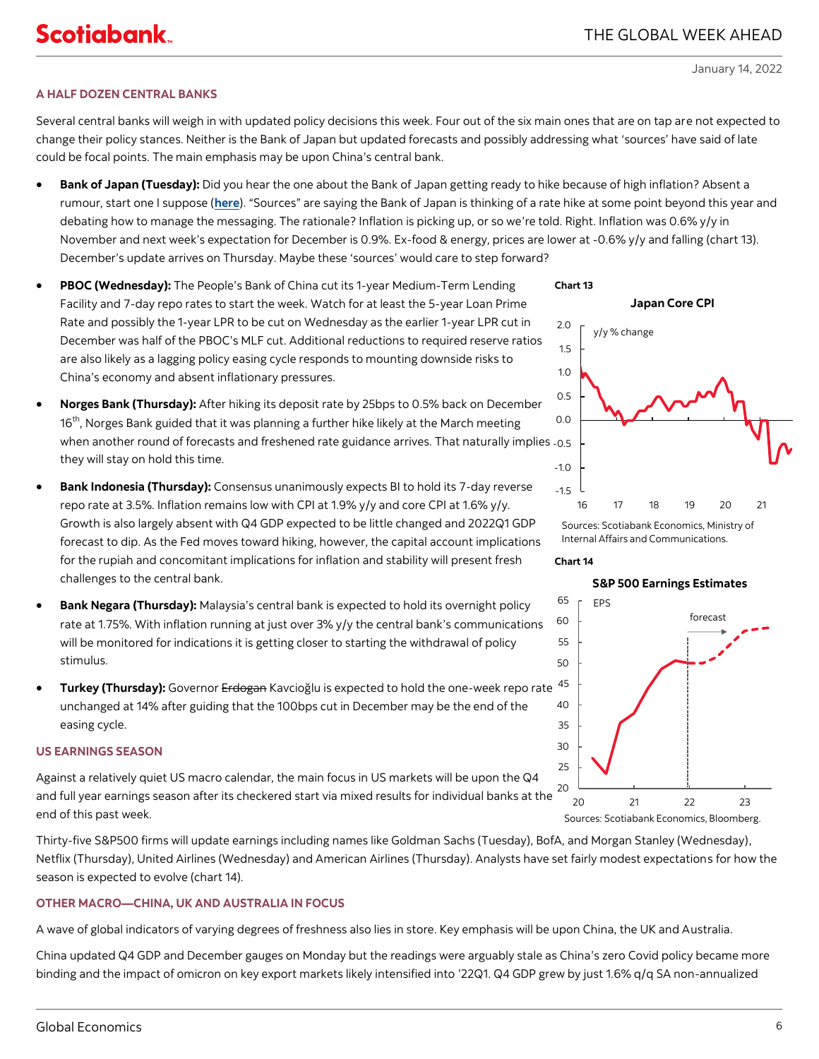# <span id="page-5-0"></span>**A HALF DOZEN CENTRAL BANKS**

Several central banks will weigh in with updated policy decisions this week. Four out of the six main ones that are on tap are not expected to change their policy stances. Neither is the Bank of Japan but updated forecasts and possibly addressing what 'sources' have said of late could be focal points. The main emphasis may be upon China's central bank.

- **Bank of Japan (Tuesday):** Did you hear the one about the Bank of Japan getting ready to hike because of high inflation? Absent a rumour, start one I suppose (**[here](https://www.reuters.com/markets/currencies/exclusive-boj-debates-messaging-eventual-rate-hike-inflation-perks-up-2022-01-13/)**). "Sources" are saying the Bank of Japan is thinking of a rate hike at some point beyond this year and debating how to manage the messaging. The rationale? Inflation is picking up, or so we're told. Right. Inflation was 0.6% y/y in November and next week's expectation for December is 0.9%. Ex-food & energy, prices are lower at -0.6% y/y and falling (chart 13). December's update arrives on Thursday. Maybe these 'sources' would care to step forward?
- **PBOC (Wednesday):** The People's Bank of China cut its 1-year Medium-Term Lending Facility and 7-day repo rates to start the week. Watch for at least the 5-year Loan Prime Rate and possibly the 1-year LPR to be cut on Wednesday as the earlier 1-year LPR cut in December was half of the PBOC's MLF cut. Additional reductions to required reserve ratios are also likely as a lagging policy easing cycle responds to mounting downside risks to China's economy and absent inflationary pressures.
- **Norges Bank (Thursday):** After hiking its deposit rate by 25bps to 0.5% back on December 16<sup>th</sup>, Norges Bank guided that it was planning a further hike likely at the March meeting when another round of forecasts and freshened rate guidance arrives. That naturally implies  $_{\rm -0.5}$ they will stay on hold this time.
- **Bank Indonesia (Thursday):** Consensus unanimously expects BI to hold its 7-day reverse repo rate at 3.5%. Inflation remains low with CPI at 1.9% y/y and core CPI at 1.6% y/y. Growth is also largely absent with Q4 GDP expected to be little changed and 2022Q1 GDP forecast to dip. As the Fed moves toward hiking, however, the capital account implications for the rupiah and concomitant implications for inflation and stability will present fresh challenges to the central bank.
- **Bank Negara (Thursday):** Malaysia's central bank is expected to hold its overnight policy rate at 1.75%. With inflation running at just over 3% y/y the central bank's communications will be monitored for indications it is getting closer to starting the withdrawal of policy stimulus.
- **Turkey (Thursday):** Governor Erdogan Kavcioğlu is expected to hold the one-week repo rate unchanged at 14% after guiding that the 100bps cut in December may be the end of the easing cycle.

# **US EARNINGS SEASON**

Against a relatively quiet US macro calendar, the main focus in US markets will be upon the Q4 and full year earnings season after its checkered start via mixed results for individual banks at the end of this past week.

Thirty-five S&P500 firms will update earnings including names like Goldman Sachs (Tuesday), BofA, and Morgan Stanley (Wednesday), Netflix (Thursday), United Airlines (Wednesday) and American Airlines (Thursday). Analysts have set fairly modest expectations for how the season is expected to evolve (chart 14).

# **OTHER MACRO—CHINA, UK AND AUSTRALIA IN FOCUS**

A wave of global indicators of varying degrees of freshness also lies in store. Key emphasis will be upon China, the UK and Australia.

China updated Q4 GDP and December gauges on Monday but the readings were arguably stale as China's zero Covid policy became more binding and the impact of omicron on key export markets likely intensified into '22Q1. Q4 GDP grew by just 1.6% q/q SA non-annualized





Sources: Scotiabank Economics, Ministry of Internal Affairs and Communications.

### **Chart 14**

**S&P 500 Earnings Estimates**

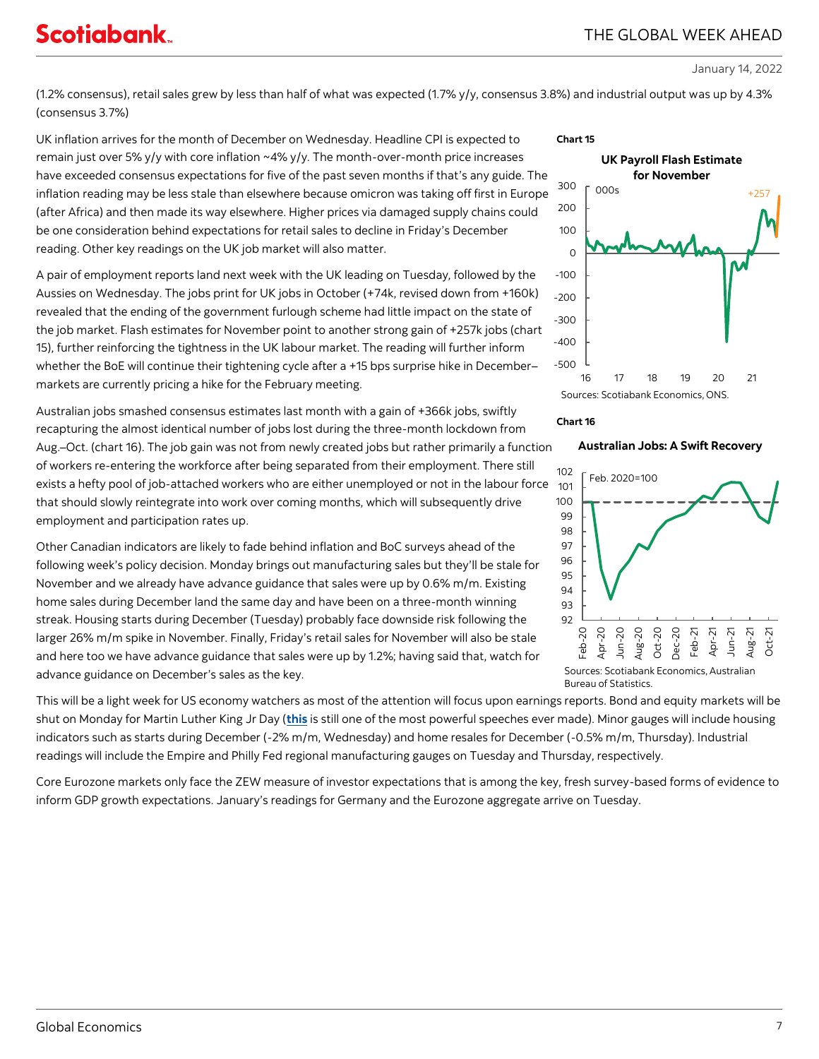# **Scotiabank**

# THE GLOBAL WEEK AHEAD

January 14, 2022

(1.2% consensus), retail sales grew by less than half of what was expected (1.7% y/y, consensus 3.8%) and industrial output was up by 4.3% (consensus 3.7%)

UK inflation arrives for the month of December on Wednesday. Headline CPI is expected to remain just over 5% y/y with core inflation ~4% y/y. The month-over-month price increases have exceeded consensus expectations for five of the past seven months if that's any guide. The inflation reading may be less stale than elsewhere because omicron was taking off first in Europe<br>(after Africa) and then made its way elsewhere. Higher prices via damaged supply chains could<br>be one consideration behind ex (after Africa) and then made its way elsewhere. Higher prices via damaged supply chains could be one consideration behind expectations for retail sales to decline in Friday's December reading. Other key readings on the UK job market will also matter.

A pair of employment reports land next week with the UK leading on Tuesday, followed by the Aussies on Wednesday. The jobs print for UK jobs in October (+74k, revised down from +160k) revealed that the ending of the government furlough scheme had little impact on the state of the job market. Flash estimates for November point to another strong gain of +257k jobs (chart 15), further reinforcing the tightness in the UK labour market. The reading will further inform whether the BoE will continue their tightening cycle after a +15 bps surprise hike in December– markets are currently pricing a hike for the February meeting.

Australian jobs smashed consensus estimates last month with a gain of +366k jobs, swiftly recapturing the almost identical number of jobs lost during the three-month lockdown from Aug.–Oct. (chart 16). The job gain was not from newly created jobs but rather primarily a function of workers re-entering the workforce after being separated from their employment. There still exists a hefty pool of job-attached workers who are either unemployed or not in the labour force  $\,$   $_{101}$ that should slowly reintegrate into work over coming months, which will subsequently drive employment and participation rates up.

Other Canadian indicators are likely to fade behind inflation and BoC surveys ahead of the following week's policy decision. Monday brings out manufacturing sales but they'll be stale for November and we already have advance guidance that sales were up by 0.6% m/m. Existing home sales during December land the same day and have been on a three-month winning streak. Housing starts during December (Tuesday) probably face downside risk following the larger 26% m/m spike in November. Finally, Friday's retail sales for November will also be stale and here too we have advance guidance that sales were up by 1.2%; having said that, watch for advance guidance on December's sales as the key.

This will be a light week for US economy watchers as most of the attention will focus upon earnings reports. Bond and equity markets will be shut on Monday for Martin Luther King Jr Day (**[this](https://www.npr.org/2010/01/18/122701268/i-have-a-dream-speech-in-its-entirety)** is still one of the most powerful speeches ever made). Minor gauges will include housing indicators such as starts during December (-2% m/m, Wednesday) and home resales for December (-0.5% m/m, Thursday). Industrial readings will include the Empire and Philly Fed regional manufacturing gauges on Tuesday and Thursday, respectively.

Core Eurozone markets only face the ZEW measure of investor expectations that is among the key, fresh survey-based forms of evidence to inform GDP growth expectations. January's readings for Germany and the Eurozone aggregate arrive on Tuesday.







Bureau of Statistics.

**Australian Jobs: A Swift Recovery**

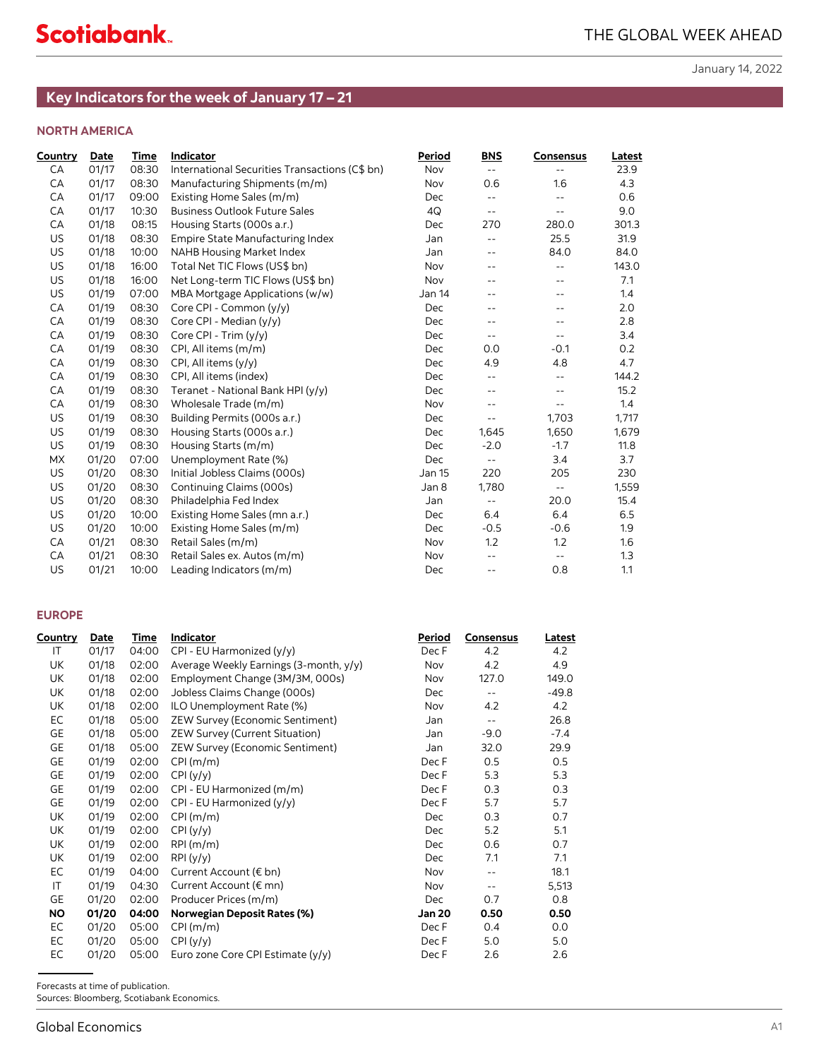# **NORTH AMERICA**

<span id="page-7-0"></span>

| Country        | <b>Date</b>    | Time           | Indicator                                      | Period         | <b>BNS</b>                                             | Consensus                                            | Latest     |
|----------------|----------------|----------------|------------------------------------------------|----------------|--------------------------------------------------------|------------------------------------------------------|------------|
| CА             | 01/17          | 08:30          | International Securities Transactions (C\$ bn) | Nov            | $\sim$ $\sim$                                          | $\overline{\phantom{a}}$ .                           | 23.9       |
| CA             | 01/17          | 08:30          | Manufacturing Shipments (m/m)                  | Nov            | 0.6                                                    | 1.6                                                  | 4.3        |
| CA             | 01/17          | 09:00          | Existing Home Sales (m/m)                      | Dec            | $\sim$ $\sim$                                          | $\overline{\phantom{a}}$                             | 0.6        |
| CA             | 01/17          | 10:30          | <b>Business Outlook Future Sales</b>           | 4Q             | $\sim$ $-$                                             | $\mathord{\hspace{1pt}\text{--}\hspace{1pt}}$        | 9.0        |
| CA             | 01/18          | 08:15          | Housing Starts (000s a.r.)                     | Dec            | 270                                                    | 280.0                                                | 301.3      |
| US             | 01/18          | 08:30          | Empire State Manufacturing Index               | Jan            | $\sim$ $\sim$                                          | 25.5                                                 | 31.9       |
| US             | 01/18          | 10:00          | NAHB Housing Market Index                      | Jan            | $\overline{\phantom{a}}$                               | 84.0                                                 | 84.0       |
| US             | 01/18          | 16:00          | Total Net TIC Flows (US\$ bn)                  | Nov            | $\overline{\phantom{a}}$                               | $\overline{\phantom{a}}$ .                           | 143.0      |
| US             | 01/18          | 16:00          | Net Long-term TIC Flows (US\$ bn)              | Nov            | $\overline{\phantom{a}}$                               | $\overline{\phantom{a}}$ .                           | 7.1        |
| US             | 01/19          | 07:00          | MBA Mortgage Applications (w/w)                | Jan 14         | $-$                                                    | $- -$                                                | 1.4        |
| CA             | 01/19          | 08:30          | Core CPI - Common (y/y)                        | Dec            | $ -$                                                   | $- -$                                                | 2.0        |
| CA             | 01/19          | 08:30          | Core CPI - Median (y/y)                        | Dec            | $\overline{\phantom{a}}$                               | $-$                                                  | 2.8        |
| CA             | 01/19          | 08:30          | Core CPI - Trim (y/y)                          | Dec            | $\sim$ $\sim$                                          | $\overline{\phantom{a}}$ .                           | 3.4        |
| CA             | 01/19          | 08:30          | CPI, All items (m/m)                           | Dec            | 0.0                                                    | -0.1                                                 | 0.2        |
| CA             | 01/19          | 08:30          | CPI, All items (y/y)                           | Dec            | 4.9                                                    | 4.8                                                  | 4.7        |
| CA             | 01/19          | 08:30          | CPI, All items (index)                         | Dec            | $\mathord{\hspace{1pt}\text{--}\hspace{1pt}}$          | $\overline{\phantom{a}}$ .                           | 144.2      |
| CA             | 01/19          | 08:30          | Teranet - National Bank HPI (y/y)              | Dec            | $\overline{\phantom{a}}$                               | $\overline{\phantom{a}}$ .                           | 15.2       |
| CA             | 01/19          | 08:30          | Wholesale Trade (m/m)                          | Nov            | $\overline{\phantom{a}}$                               | $\sim$ $-$                                           | 1.4        |
| US             | 01/19          | 08:30          | Building Permits (000s a.r.)                   | Dec            | $\sim$ $\sim$                                          | 1,703                                                | 1,717      |
| US             | 01/19          | 08:30          | Housing Starts (000s a.r.)                     | Dec            | 1,645                                                  | 1,650                                                | 1,679      |
| US             | 01/19          | 08:30          | Housing Starts (m/m)                           | Dec            | $-2.0$                                                 | $-1.7$                                               | 11.8       |
| MX             | 01/20          | 07:00          | Unemployment Rate (%)                          | Dec            | $\sim$ $\sim$                                          | 3.4                                                  | 3.7        |
| US             | 01/20          | 08:30          | Initial Jobless Claims (000s)                  | Jan 15         | 220                                                    | 205                                                  | 230        |
| US             | 01/20          | 08:30          | Continuing Claims (000s)                       | Jan 8          | 1,780                                                  | $\sim$ $-$                                           | 1,559      |
| US             | 01/20          | 08:30          | Philadelphia Fed Index                         | Jan            | $\sim$ $\sim$                                          | 20.0                                                 | 15.4       |
| US             | 01/20          | 10:00          | Existing Home Sales (mn a.r.)                  | Dec            | 6.4                                                    | 6.4                                                  | 6.5        |
| US             | 01/20          | 10:00          | Existing Home Sales (m/m)                      | Dec            | $-0.5$                                                 | $-0.6$                                               | 1.9        |
| CA             | 01/21          | 08:30          | Retail Sales (m/m)                             | Nov            | 1.2                                                    | 1.2                                                  | 1.6        |
| CA<br>US       | 01/21<br>01/21 | 08:30<br>10:00 | Retail Sales ex. Autos (m/m)                   | Nov            | $\overline{\phantom{a}}$<br>$\overline{\phantom{a}}$ . | $\mathord{\hspace{1pt}\text{--}\hspace{1pt}}$<br>0.8 | 1.3<br>1.1 |
|                |                |                | Leading Indicators (m/m)                       | Dec            |                                                        |                                                      |            |
| <b>EUROPE</b>  |                |                |                                                |                |                                                        |                                                      |            |
| <b>Country</b> | <u>Date</u>    | <u>Time</u>    | Indicator                                      | <b>Period</b>  | <b>Consensus</b>                                       | <u>Latest</u>                                        |            |
| IT             | 01/17          |                | 04:00 CPI - EU Harmonized (y/y)                | Dec F          | 4.2                                                    | 4.2                                                  |            |
| UK             | 01/18          |                | 02:00 Average Weekly Earnings (3-month, y/y)   | Nov            | 4.2                                                    | 4.9                                                  |            |
| UK             | 01/18          |                | 02:00 Employment Change (3M/3M, 000s)          | Nov            | 127.0                                                  | 149.0                                                |            |
| UK             | 01/18          |                | 02:00 Jobless Claims Change (000s)             | Dec            |                                                        | $-49.8$                                              |            |
| UK             | 01/18          |                | 02:00 ILO Unemployment Rate (%)                | Nov            | 4.2                                                    | 4.2                                                  |            |
| EC             | 01/18          |                | 05:00 ZEW Survey (Economic Sentiment)          | Jan            | $\sim$ $\sim$                                          | 26.8                                                 |            |
| GE             | 01/18          |                | 05:00 ZEW Survey (Current Situation)           | Jan            | $-9.0$                                                 | $-7.4$                                               |            |
| GE             | 01/18          |                | 05:00 ZEW Survey (Economic Sentiment)          | Jan            | 32.0                                                   | 29.9                                                 |            |
| GE             | 01/19          |                | 02:00 CPI (m/m)                                | Dec F          | 0.5                                                    | 0.5                                                  |            |
| GE             | 01/19          |                | 02:00 CPI (y/y)                                | Dec F          | 5.3                                                    | 5.3                                                  |            |
| GE             | 01/19          |                | 02:00 CPI - EU Harmonized (m/m)                | Dec F          | 0.3                                                    | 0.3                                                  |            |
| GE             | 01/19          | 02:00          | CPI - EU Harmonized (y/y)                      | Dec F          | 5.7                                                    | 5.7                                                  |            |
| UK             | 01/19          | 02:00          | CPI (m/m)                                      | Dec            | 0.3                                                    | 0.7                                                  |            |
| UK             | 01/19          | 02:00          | CPI(y/y)                                       | Dec            | 5.2                                                    | 5.1                                                  |            |
| UK             | 01/19          | 02:00          | RPI (m/m)                                      | Dec            | 0.6                                                    | 0.7                                                  |            |
| UK             | 01/19          | 02:00          | RPI(y/y)                                       | Dec            | 7.1                                                    | 7.1                                                  |            |
| EC             | 01/19          | 04:00          | Current Account (€ bn)                         | Nov            | $\mathord{\hspace{1pt}\text{--}\hspace{1pt}}$          | 18.1                                                 |            |
|                | 01/19          | 04:30          | Current Account (€ mn)                         | Nov            | $\overline{\phantom{a}}$                               | 5,513                                                |            |
| IT             |                | 02:00          | Producer Prices (m/m)                          | Dec            | 0.7                                                    | 0.8                                                  |            |
| <b>GE</b>      | 01/20          |                |                                                |                | 0.50                                                   | 0.50                                                 |            |
| <b>NO</b>      | 01/20          | 04:00          | <b>Norwegian Deposit Rates (%)</b>             | <b>Jan 20</b>  |                                                        |                                                      |            |
| EC             | 01/20          | 05:00          | CPI(m/m)                                       | Dec F          | 0.4                                                    | 0.0                                                  |            |
| EC<br>EC       | 01/20<br>01/20 | 05:00<br>05:00 | CPI(y/y)<br>Euro zone Core CPI Estimate (y/y)  | Dec F<br>Dec F | 5.0<br>2.6                                             | 5.0<br>2.6                                           |            |

### **EUROPE**

| Country   | <b>Date</b> | Time  | <b>Indicator</b>                       | Period | <b>Consensus</b>           | Latest  |
|-----------|-------------|-------|----------------------------------------|--------|----------------------------|---------|
| IT        | 01/17       | 04:00 | CPI - EU Harmonized (y/y)              | Dec F  | 4.2                        | 4.2     |
| UK        | 01/18       | 02:00 | Average Weekly Earnings (3-month, y/y) | Nov    | 4.2                        | 4.9     |
| UK        | 01/18       | 02:00 | Employment Change (3M/3M, 000s)        | Nov    | 127.0                      | 149.0   |
| UK        | 01/18       | 02:00 | Jobless Claims Change (000s)           | Dec    | $\sim$ $\sim$              | $-49.8$ |
| UK        | 01/18       | 02:00 | ILO Unemployment Rate (%)              | Nov    | 4.2                        | 4.2     |
| EC        | 01/18       | 05:00 | <b>ZEW Survey (Economic Sentiment)</b> | Jan    | $\overline{\phantom{a}}$ . | 26.8    |
| GE        | 01/18       | 05:00 | <b>ZEW Survey (Current Situation)</b>  | Jan    | $-9.0$                     | $-7.4$  |
| GE        | 01/18       | 05:00 | <b>ZEW Survey (Economic Sentiment)</b> | Jan    | 32.0                       | 29.9    |
| GE        | 01/19       | 02:00 | CPI(m/m)                               | Dec F  | 0.5                        | 0.5     |
| GE        | 01/19       | 02:00 | CPI(y/y)                               | Dec F  | 5.3                        | 5.3     |
| GE        | 01/19       | 02:00 | CPI - EU Harmonized (m/m)              | Dec F  | 0.3                        | 0.3     |
| GE        | 01/19       | 02:00 | CPI - EU Harmonized (y/y)              | Dec F  | 5.7                        | 5.7     |
| UK        | 01/19       | 02:00 | CPI(m/m)                               | Dec    | 0.3                        | 0.7     |
| UK        | 01/19       | 02:00 | CPI(y/y)                               | Dec    | 5.2                        | 5.1     |
| UK        | 01/19       | 02:00 | RPI(m/m)                               | Dec    | 0.6                        | 0.7     |
| UK        | 01/19       | 02:00 | RPI(y/y)                               | Dec    | 7.1                        | 7.1     |
| EC        | 01/19       | 04:00 | Current Account (€ bn)                 | Nov    | $ -$                       | 18.1    |
| IT        | 01/19       | 04:30 | Current Account (€ mn)                 | Nov    | $- -$                      | 5,513   |
| GE        | 01/20       | 02:00 | Producer Prices (m/m)                  | Dec    | 0.7                        | 0.8     |
| <b>NO</b> | 01/20       | 04:00 | <b>Norwegian Deposit Rates (%)</b>     | Jan 20 | 0.50                       | 0.50    |
| EC        | 01/20       | 05:00 | CPI(m/m)                               | Dec F  | 0.4                        | 0.0     |
| EC        | 01/20       | 05:00 | CPI(y/y)                               | Dec F  | 5.0                        | 5.0     |
| EC        | 01/20       | 05:00 | Euro zone Core CPI Estimate (y/y)      | Dec F  | 2.6                        | 2.6     |

Sources: Bloomberg, Scotiabank Economics.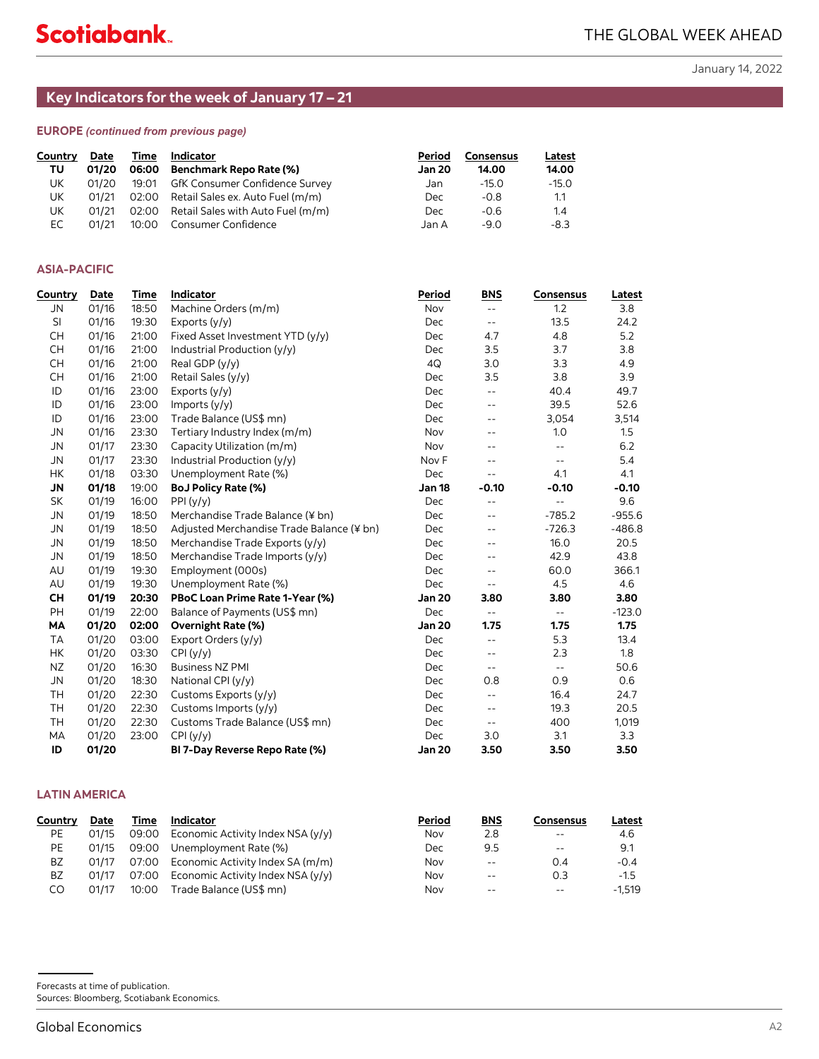# **EUROPE** *(continued from previous page)*

| Country | Date  | Time  | Indicator                              | Period        | Consensus | Latest  |
|---------|-------|-------|----------------------------------------|---------------|-----------|---------|
| τυ      | 01/20 | 06:00 | Benchmark Repo Rate (%)                | <b>Jan 20</b> | 14.00     | 14.00   |
| UK      | 01/20 | 19:01 | GfK Consumer Confidence Survey         | Jan           | $-15.0$   | $-15.0$ |
| UK      | 01/21 |       | 02:00 Retail Sales ex. Auto Fuel (m/m) | Dec           | $-0.8$    | 1.1     |
| UK      | 01/21 | 02:00 | Retail Sales with Auto Fuel (m/m)      | Dec           | $-0.6$    | 1.4     |
| EC.     | 01/21 | 10:00 | Consumer Confidence                    | .Jan A        | -90       | $-8.3$  |

# **ASIA-PACIFIC**

<span id="page-8-0"></span>

| Country                           | <b>Date</b>    | Time           | Indicator                                                             | Period        | <b>Consensus</b>                                       | Latest                                        |                  |
|-----------------------------------|----------------|----------------|-----------------------------------------------------------------------|---------------|--------------------------------------------------------|-----------------------------------------------|------------------|
| TU                                | 01/20          | 06:00          | <b>Benchmark Repo Rate (%)</b>                                        | Jan 20        | 14.00                                                  | 14.00                                         |                  |
| UK                                | 01/20          | 19:01          | GfK Consumer Confidence Survey                                        | Jan           | $-15.0$                                                | $-15.0$                                       |                  |
| UK<br>UK                          | 01/21<br>01/21 | 02:00<br>02:00 | Retail Sales ex. Auto Fuel (m/m)<br>Retail Sales with Auto Fuel (m/m) | Dec<br>Dec    | $-0.8$<br>$-0.6$                                       | 1.1<br>1.4                                    |                  |
| EC                                | 01/21          | 10:00          | Consumer Confidence                                                   | Jan A         | $-9.0$                                                 | $-8.3$                                        |                  |
|                                   |                |                |                                                                       |               |                                                        |                                               |                  |
| <b>ASIA-PACIFIC</b>               |                |                |                                                                       |               |                                                        |                                               |                  |
| Country                           | Date           | Time           | Indicator                                                             | Period        | <b>BNS</b>                                             | <b>Consensus</b>                              | <b>Latest</b>    |
| JN                                | 01/16          | 18:50          | Machine Orders (m/m)                                                  | Nov           | $\mathord{\hspace{1pt}\text{--}\hspace{1pt}}$          | 1.2                                           | 3.8              |
| SI                                | 01/16          | 19:30          | Exports $(y/y)$                                                       | Dec           | $\sim$ $\sim$                                          | 13.5                                          | 24.2             |
| <b>CH</b>                         | 01/16          | 21:00          | Fixed Asset Investment YTD (y/y)                                      | Dec           | 4.7                                                    | 4.8                                           | 5.2              |
| <b>CH</b>                         | 01/16          | 21:00          | Industrial Production (y/y)                                           | Dec           | 3.5                                                    | 3.7                                           | 3.8              |
| <b>CH</b>                         | 01/16          | 21:00          | Real GDP (y/y)                                                        | 4Q            | 3.0                                                    | 3.3                                           | 4.9              |
| <b>CH</b>                         | 01/16          | 21:00          | Retail Sales (y/y)                                                    | Dec           | 3.5                                                    | 3.8                                           | 3.9              |
| ID                                | 01/16          | 23:00          | Exports (y/y)                                                         | Dec           | $\sim$ $\sim$                                          | 40.4                                          | 49.7             |
| ID<br>ID                          | 01/16<br>01/16 | 23:00<br>23:00 | Imports (y/y)<br>Trade Balance (US\$ mn)                              | Dec<br>Dec    | $\overline{\phantom{a}}$                               | 39.5<br>3,054                                 | 52.6             |
| <b>JN</b>                         | 01/16          | 23:30          | Tertiary Industry Index (m/m)                                         | Nov           | $\overline{\phantom{a}}$<br>$\overline{\phantom{a}}$ . | 1.0                                           | 3,514<br>1.5     |
| JN                                | 01/17          | 23:30          | Capacity Utilization (m/m)                                            | Nov           | $\overline{\phantom{a}}$ .                             | $\mathord{\hspace{1pt}\text{--}\hspace{1pt}}$ | 6.2              |
| <b>JN</b>                         | 01/17          | 23:30          | Industrial Production (y/y)                                           | Nov F         | $\overline{\phantom{a}}$ .                             | $\sim$ $-$                                    | 5.4              |
| HK                                | 01/18          | 03:30          | Unemployment Rate (%)                                                 | Dec           | $\sim$ $-$                                             | 4.1                                           | 4.1              |
| <b>JN</b>                         | 01/18          | 19:00          | <b>BoJ Policy Rate (%)</b>                                            | Jan 18        | $-0.10$                                                | -0.10                                         | $-0.10$          |
| <b>SK</b>                         | 01/19          | 16:00          | PPI(y/y)                                                              | Dec           | $\overline{\phantom{a}}$ .                             | $\sim$ $-$                                    | 9.6              |
| <b>JN</b>                         | 01/19          | 18:50          | Merchandise Trade Balance (¥ bn)                                      | Dec           | $\overline{\phantom{a}}$ .                             | $-785.2$                                      | $-955.6$         |
| <b>JN</b>                         | 01/19          | 18:50          | Adjusted Merchandise Trade Balance (¥ bn)                             | Dec           | $\overline{\phantom{a}}$ .                             | $-726.3$                                      | $-486.8$         |
| JN                                | 01/19          | 18:50          | Merchandise Trade Exports (y/y)                                       | Dec           | $\overline{\phantom{a}}$ .                             | 16.0                                          | 20.5             |
| <b>JN</b>                         | 01/19          | 18:50          | Merchandise Trade Imports (y/y)                                       | Dec           | $\overline{\phantom{a}}$ .                             | 42.9                                          | 43.8             |
| AU                                | 01/19          | 19:30          | Employment (000s)                                                     | Dec           | $\sim$ $\sim$                                          | 60.0                                          | 366.1            |
| AU                                | 01/19          | 19:30          | Unemployment Rate (%)                                                 | Dec           | $\sim$ $\sim$                                          | 4.5                                           | 4.6              |
| <b>CH</b>                         | 01/19          | 20:30          | PBoC Loan Prime Rate 1-Year (%)                                       | <b>Jan 20</b> | 3.80                                                   | 3.80                                          | 3.80             |
| PH<br>MА                          | 01/19          | 22:00<br>02:00 | Balance of Payments (US\$ mn)                                         | Dec<br>Jan 20 | $\sim$ $\sim$<br>1.75                                  | $\sim$ $\sim$<br>1.75                         | $-123.0$<br>1.75 |
| <b>TA</b>                         | 01/20<br>01/20 | 03:00          | <b>Overnight Rate (%)</b><br>Export Orders (y/y)                      | Dec           | $\sim$ $\sim$                                          | 5.3                                           | 13.4             |
| HK                                | 01/20          | 03:30          | CPI(y/y)                                                              | Dec           | $\overline{\phantom{a}}$                               | 2.3                                           | 1.8              |
| NZ                                | 01/20          | 16:30          | <b>Business NZ PMI</b>                                                | Dec           | $\sim$ $\sim$                                          | $\overline{\phantom{a}}$ .                    | 50.6             |
| <b>JN</b>                         | 01/20          | 18:30          | National CPI (y/y)                                                    | Dec           | 0.8                                                    | 0.9                                           | 0.6              |
| TН                                | 01/20          | 22:30          | Customs Exports (y/y)                                                 | Dec           | $\overline{\phantom{a}}$                               | 16.4                                          | 24.7             |
| <b>TH</b>                         | 01/20          | 22:30          | Customs Imports (y/y)                                                 | Dec           | $\overline{\phantom{a}}$ .                             | 19.3                                          | 20.5             |
| TH                                | 01/20          | 22:30          | Customs Trade Balance (US\$ mn)                                       | Dec           | $\overline{\phantom{a}}$                               | 400                                           | 1,019            |
| MA                                | 01/20          | 23:00          | CPI(y/y)                                                              | Dec           | 3.0                                                    | 3.1                                           | 3.3              |
| ID                                | 01/20          |                | BI 7-Day Reverse Repo Rate (%)                                        | <b>Jan 20</b> | 3.50                                                   | 3.50                                          | 3.50             |
| <b>LATIN AMERICA</b>              |                |                |                                                                       |               |                                                        |                                               |                  |
| Country                           | <u>Date</u>    | <u>Time</u>    | Indicator                                                             | Period        | <b>BNS</b>                                             | <u>Consensus</u>                              | Latest           |
| PE                                | 01/15          | 09:00          | Economic Activity Index NSA (y/y)                                     | Nov           | 2.8                                                    | $\overline{\phantom{a}}$ .                    | 4.6              |
| PE                                | 01/15          | 09:00          | Unemployment Rate (%)                                                 | Dec           | 9.5                                                    | $\overline{\phantom{a}}$ .                    | 9.1              |
| BZ                                | 01/17          | 07:00          | Economic Activity Index SA (m/m)                                      | Nov           | $\overline{\phantom{a}}$ .                             | 0.4                                           | $-0.4$           |
| ΒZ                                | 01/17          | 07:00          | Economic Activity Index NSA (y/y)                                     | Nov           | $-$                                                    | 0.3                                           | $-1.5$           |
| CO                                | 01/17          | 10:00          | Trade Balance (US\$ mn)                                               | Nov           | $-$                                                    | $\overline{\phantom{a}}$ .                    | $-1,519$         |
|                                   |                |                |                                                                       |               |                                                        |                                               |                  |
|                                   |                |                |                                                                       |               |                                                        |                                               |                  |
| Forecasts at time of publication. |                |                |                                                                       |               |                                                        |                                               |                  |

# **LATIN AMERICA**

| Country | Date  | Time  | <b>Indicator</b>                          | Period | <b>BNS</b>    | Consensus | Latest   |
|---------|-------|-------|-------------------------------------------|--------|---------------|-----------|----------|
| PE      | 01/15 |       | 09:00 Economic Activity Index NSA (y/y)   | Nov    | 2.8           | $- -$     | 4.6      |
| PE      | 01/15 |       | 09:00 Unemployment Rate (%)               | Dec    | 9.5           | $-$       | 9.1      |
| BZ      | 01/17 |       | 07:00 Economic Activity Index SA (m/m)    | Nov    | $\sim$ $\sim$ | 0.4       | $-0.4$   |
| BZ      | 01/17 |       | 07:00 Economic Activity Index NSA $(y/y)$ | Nov    | $-$           | 0.3       | $-1.5$   |
| CO      | 01/17 | 10:00 | Trade Balance (US\$ mn)                   | Nov    | $- -$         | $ -$      | $-1.519$ |

Sources: Bloomberg, Scotiabank Economics.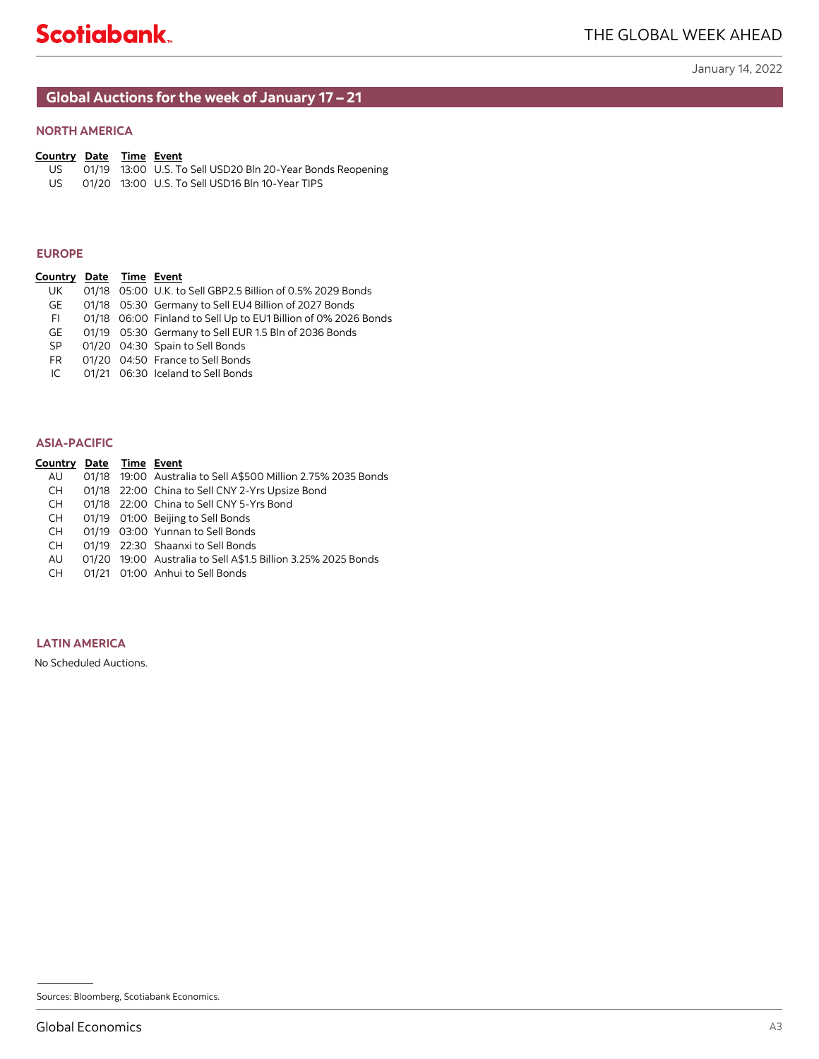# **Global Auctions for the week of January 17 – 21**

# **EUROPE**

| Country Date Time Event |  |                                                                |
|-------------------------|--|----------------------------------------------------------------|
| UK.                     |  | 01/18 05:00 U.K. to Sell GBP2.5 Billion of 0.5% 2029 Bonds     |
| GE                      |  | 01/18 05:30 Germany to Sell EU4 Billion of 2027 Bonds          |
| FI.                     |  | 01/18 06:00 Finland to Sell Up to EU1 Billion of 0% 2026 Bonds |
| GE.                     |  | 01/19 05:30 Germany to Sell EUR 1.5 Bln of 2036 Bonds          |
| SP.                     |  | 01/20 04:30 Spain to Sell Bonds                                |
| FR.                     |  | 01/20 04:50 France to Sell Bonds                               |
| IC.                     |  | 01/21 06:30 Iceland to Sell Bonds                              |
|                         |  |                                                                |

# **ASIA-PACIFIC**

| <b>NORTH AMERICA</b>                                                                                                     |  |                                                                                                                                                                                                                                                                                                                                                                                |    |
|--------------------------------------------------------------------------------------------------------------------------|--|--------------------------------------------------------------------------------------------------------------------------------------------------------------------------------------------------------------------------------------------------------------------------------------------------------------------------------------------------------------------------------|----|
| <b>Country Date Time Event</b><br>US<br>US                                                                               |  | 01/19 13:00 U.S. To Sell USD20 Bln 20-Year Bonds Reopening<br>01/20 13:00 U.S. To Sell USD16 Bln 10-Year TIPS                                                                                                                                                                                                                                                                  |    |
| <b>EUROPE</b>                                                                                                            |  |                                                                                                                                                                                                                                                                                                                                                                                |    |
| Country Date Time Event<br>UK<br>GE<br>FI.<br>GE<br>SP<br>FR<br>IC                                                       |  | 01/18  05:00  U.K. to Sell GBP2.5  Billion of 0.5%  2029  Bonds<br>01/18 05:30 Germany to Sell EU4 Billion of 2027 Bonds<br>01/18 06:00 Finland to Sell Up to EU1 Billion of 0% 2026 Bonds<br>01/19 05:30 Germany to Sell EUR 1.5 Bln of 2036 Bonds<br>01/20 04:30 Spain to Sell Bonds<br>01/20 04:50 France to Sell Bonds<br>01/21 06:30 Iceland to Sell Bonds                |    |
| <b>ASIA-PACIFIC</b>                                                                                                      |  |                                                                                                                                                                                                                                                                                                                                                                                |    |
| <b>Country Date Time Event</b><br>AU<br><b>CH</b><br><b>CH</b><br><b>CH</b><br><b>CH</b><br><b>CH</b><br>AU<br><b>CH</b> |  | 01/18 19:00 Australia to Sell A\$500 Million 2.75% 2035 Bonds<br>01/18 22:00 China to Sell CNY 2-Yrs Upsize Bond<br>01/18 22:00 China to Sell CNY 5-Yrs Bond<br>01/19 01:00 Beijing to Sell Bonds<br>01/19 03:00 Yunnan to Sell Bonds<br>01/19 22:30 Shaanxi to Sell Bonds<br>01/20 19:00 Australia to Sell A\$1.5 Billion 3.25% 2025 Bonds<br>01/21 01:00 Anhui to Sell Bonds |    |
| <b>LATIN AMERICA</b>                                                                                                     |  |                                                                                                                                                                                                                                                                                                                                                                                |    |
| No Scheduled Auctions.                                                                                                   |  |                                                                                                                                                                                                                                                                                                                                                                                |    |
|                                                                                                                          |  |                                                                                                                                                                                                                                                                                                                                                                                |    |
|                                                                                                                          |  |                                                                                                                                                                                                                                                                                                                                                                                |    |
|                                                                                                                          |  | Sources: Bloomberg, Scotiabank Economics.                                                                                                                                                                                                                                                                                                                                      |    |
| <b>Global Economics</b>                                                                                                  |  |                                                                                                                                                                                                                                                                                                                                                                                | A3 |

# **LATIN AMERICA**

Sources: Bloomberg, Scotiabank Economics.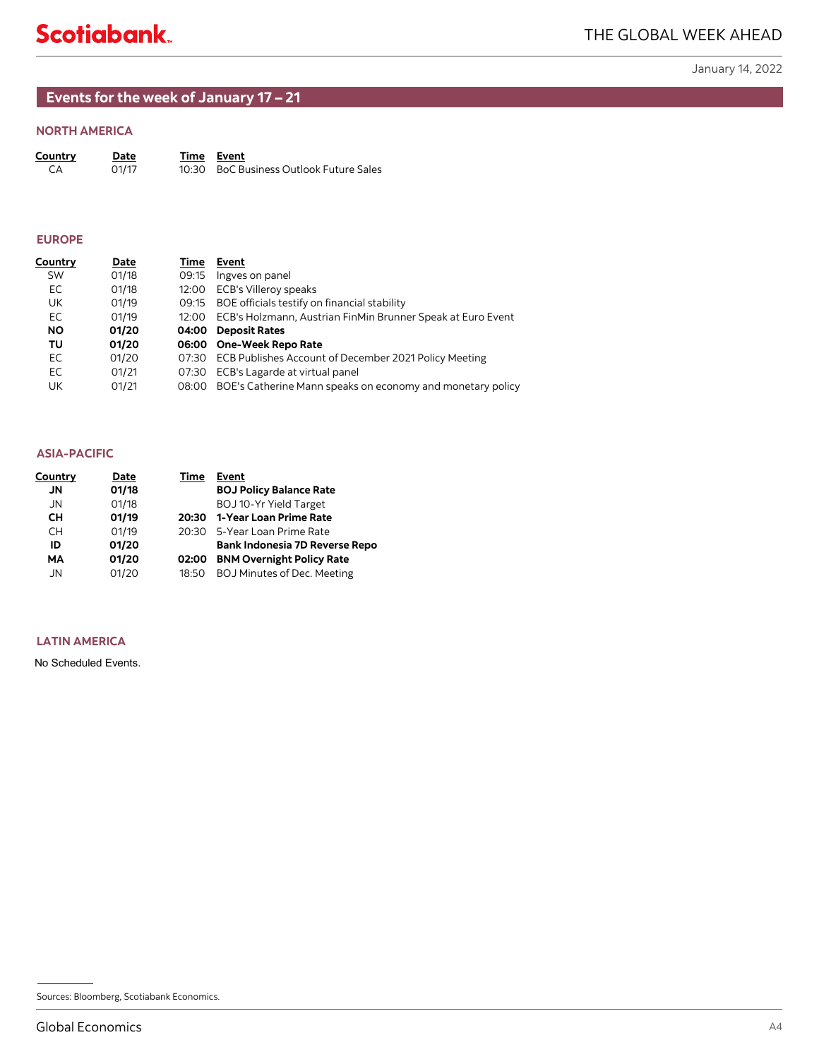# <span id="page-10-0"></span>**Events for the week of January 17 – 21**

# **NORTH AMERICA**

| Country | Date  | Time Event                              |
|---------|-------|-----------------------------------------|
| - CA    | 01/17 | 10:30 BoC Business Outlook Future Sales |

# **EUROPE**

| Country<br>СA                                | <u>Date</u><br>01/17                      | <u>Time</u><br>10:30 | <b>Event</b><br><b>BoC Business Outlook Future Sales</b>                                      |
|----------------------------------------------|-------------------------------------------|----------------------|-----------------------------------------------------------------------------------------------|
| <b>EUROPE</b>                                |                                           |                      |                                                                                               |
| <u>Country</u>                               | <b>Date</b>                               |                      | Time Event                                                                                    |
| SW                                           | 01/18                                     | 09:15                | Ingves on panel                                                                               |
| EC                                           | 01/18                                     | 12:00                | ECB's Villeroy speaks                                                                         |
| UK                                           | 01/19                                     | 09:15                | BOE officials testify on financial stability                                                  |
| EC                                           | 01/19                                     | 12:00                | ECB's Holzmann, Austrian FinMin Brunner Speak at Euro Event                                   |
| NO.                                          | 01/20                                     |                      | 04:00 Deposit Rates                                                                           |
| TU<br>EC                                     | 01/20                                     |                      | 06:00 One-Week Repo Rate                                                                      |
| EC                                           | 01/20<br>01/21                            | 07:30                | 07:30 ECB Publishes Account of December 2021 Policy Meeting<br>ECB's Lagarde at virtual panel |
| UK                                           | 01/21                                     | 08:00                | BOE's Catherine Mann speaks on economy and monetary policy                                    |
| <b>ASIA-PACIFIC</b>                          |                                           |                      |                                                                                               |
| <b>Country</b>                               | <b>Date</b>                               | Time                 | Event                                                                                         |
| JN                                           | 01/18                                     |                      | <b>BOJ Policy Balance Rate</b>                                                                |
| JN                                           | 01/18                                     |                      | BOJ 10-Yr Yield Target                                                                        |
| CН                                           | 01/19                                     | 20:30                | 1-Year Loan Prime Rate                                                                        |
| СH                                           | 01/19                                     | 20:30                | 5-Year Loan Prime Rate                                                                        |
| ID                                           | 01/20                                     |                      | Bank Indonesia 7D Reverse Repo                                                                |
| <b>MA</b>                                    | 01/20                                     |                      | 02:00 BNM Overnight Policy Rate                                                               |
| JN                                           | 01/20                                     | 18:50                | BOJ Minutes of Dec. Meeting                                                                   |
| <b>LATIN AMERICA</b><br>No Scheduled Events. |                                           |                      |                                                                                               |
|                                              |                                           |                      |                                                                                               |
|                                              |                                           |                      |                                                                                               |
|                                              |                                           |                      |                                                                                               |
|                                              |                                           |                      |                                                                                               |
|                                              |                                           |                      |                                                                                               |
|                                              |                                           |                      |                                                                                               |
|                                              |                                           |                      |                                                                                               |
|                                              | Sources: Bloomberg, Scotiabank Economics. |                      |                                                                                               |

| <b>ASIA-PACIFIC</b>                                                                                                                           |                                                                            |                                                                                                                                                                                                                                                  |    |
|-----------------------------------------------------------------------------------------------------------------------------------------------|----------------------------------------------------------------------------|--------------------------------------------------------------------------------------------------------------------------------------------------------------------------------------------------------------------------------------------------|----|
| Country<br>JN<br>${\sf JN}$<br>$\mathsf{CH}% \left( \mathcal{M}\right)$<br>$\mathsf{CH}% \left( \mathcal{M}\right)$<br>ID<br>MA<br>${\sf JN}$ | <b>Date</b><br>01/18<br>01/18<br>01/19<br>01/19<br>01/20<br>01/20<br>01/20 | Time Event<br><b>BOJ Policy Balance Rate</b><br>BOJ 10-Yr Yield Target<br>20:30 1-Year Loan Prime Rate<br>20:30 5-Year Loan Prime Rate<br>Bank Indonesia 7D Reverse Repo<br>02:00 BNM Overnight Policy Rate<br>18:50 BOJ Minutes of Dec. Meeting |    |
| <b>LATIN AMERICA</b>                                                                                                                          |                                                                            |                                                                                                                                                                                                                                                  |    |
| No Scheduled Events.                                                                                                                          |                                                                            |                                                                                                                                                                                                                                                  |    |
|                                                                                                                                               |                                                                            |                                                                                                                                                                                                                                                  |    |
|                                                                                                                                               |                                                                            |                                                                                                                                                                                                                                                  |    |
|                                                                                                                                               |                                                                            |                                                                                                                                                                                                                                                  |    |
|                                                                                                                                               |                                                                            |                                                                                                                                                                                                                                                  |    |
|                                                                                                                                               |                                                                            |                                                                                                                                                                                                                                                  |    |
|                                                                                                                                               |                                                                            |                                                                                                                                                                                                                                                  |    |
|                                                                                                                                               |                                                                            |                                                                                                                                                                                                                                                  |    |
|                                                                                                                                               |                                                                            |                                                                                                                                                                                                                                                  |    |
|                                                                                                                                               |                                                                            |                                                                                                                                                                                                                                                  |    |
|                                                                                                                                               |                                                                            |                                                                                                                                                                                                                                                  |    |
|                                                                                                                                               |                                                                            |                                                                                                                                                                                                                                                  |    |
|                                                                                                                                               | Sources: Bloomberg, Scotiabank Economics.                                  |                                                                                                                                                                                                                                                  |    |
| <b>Global Economics</b>                                                                                                                       |                                                                            |                                                                                                                                                                                                                                                  | AA |

# **LATIN AMERICA**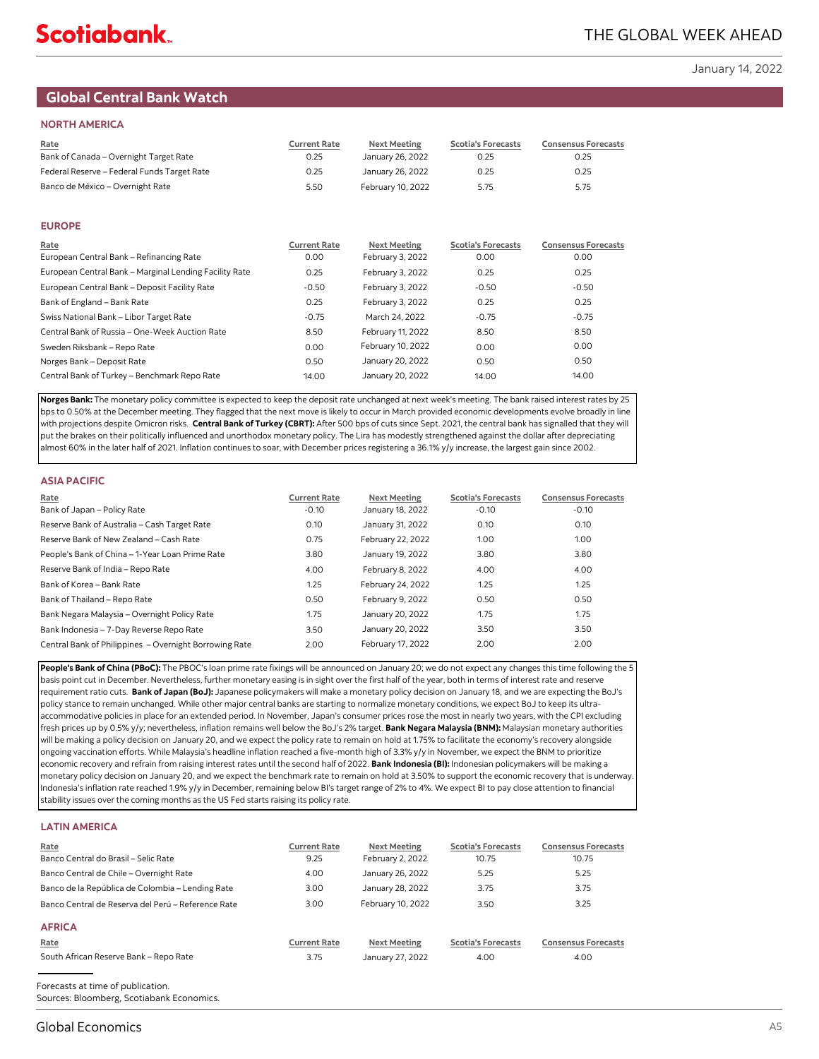# <span id="page-11-0"></span>**Global Central Bank Watch**

### **NORTH AMERICA**

| Rate<br>Bank of Canada - Overnight Target Rate         | <b>Current Rate</b><br>0.25 | <b>Next Meeting</b><br>January 26, 2022 | <b>Scotia's Forecasts</b><br>0.25 | <b>Consensus Forecasts</b><br>0.25 |
|--------------------------------------------------------|-----------------------------|-----------------------------------------|-----------------------------------|------------------------------------|
| Federal Reserve - Federal Funds Target Rate            | 0.25                        | January 26, 2022                        | 0.25                              | 0.25                               |
| Banco de México - Overnight Rate                       | 5.50                        | February 10, 2022                       | 5.75                              | 5.75                               |
|                                                        |                             |                                         |                                   |                                    |
| <b>EUROPE</b>                                          |                             |                                         |                                   |                                    |
| Rate                                                   | <b>Current Rate</b>         | <b>Next Meeting</b>                     | <b>Scotia's Forecasts</b>         | <b>Consensus Forecasts</b>         |
| European Central Bank - Refinancing Rate               | 0.00                        | February 3, 2022                        | 0.00                              | 0.00                               |
| European Central Bank - Marginal Lending Facility Rate | 0.25                        | February 3, 2022                        | 0.25                              | 0.25                               |
| European Central Bank - Deposit Facility Rate          | $-0.50$                     | February 3, 2022                        | $-0.50$                           | $-0.50$                            |
| Bank of England - Bank Rate                            | 0.25                        | February 3, 2022                        | 0.25                              | 0.25                               |
| Swiss National Bank - Libor Target Rate                | $-0.75$                     | March 24, 2022                          | $-0.75$                           | $-0.75$                            |
| Central Bank of Russia - One-Week Auction Rate         | 8.50                        | February 11, 2022                       | 8.50                              | 8.50                               |
| Sweden Riksbank - Repo Rate                            | 0.00                        | February 10, 2022                       | 0.00                              | 0.00                               |
| Norges Bank - Deposit Rate                             | 0.50                        | January 20, 2022                        | 0.50                              | 0.50                               |
| Central Bank of Turkey - Benchmark Repo Rate           | 14.00                       | January 20, 2022                        | 14.00                             | 14.00                              |

**Norges Bank:** The monetary policy committee is expected to keep the deposit rate unchanged at next week's meeting. The bank raised interest rates by 25 bps to 0.50% at the December meeting. They flagged that the next move is likely to occur in March provided economic developments evolve broadly in line with projections despite Omicron risks. **Central Bank of Turkey (CBRT):** After 500 bps of cuts since Sept. 2021, the central bank has signalled that they will put the brakes on their politically influenced and unorthodox monetary policy. The Lira has modestly strengthened against the dollar after depreciating almost 60% in the later half of 2021. Inflation continues to soar, with December prices registering a 36.1% y/y increase, the largest gain since 2002.

| <b>ASIA PACIFIC</b>                                    |                     |                     |                           |                            |
|--------------------------------------------------------|---------------------|---------------------|---------------------------|----------------------------|
| Rate                                                   | <b>Current Rate</b> | <b>Next Meeting</b> | <b>Scotia's Forecasts</b> | <b>Consensus Forecasts</b> |
| Bank of Japan - Policy Rate                            | $-0.10$             | January 18, 2022    | $-0.10$                   | $-0.10$                    |
| Reserve Bank of Australia - Cash Target Rate           | 0.10                | January 31, 2022    | 0.10                      | 0.10                       |
| Reserve Bank of New Zealand - Cash Rate                | 0.75                | February 22, 2022   | 1.00                      | 1.00                       |
| People's Bank of China - 1-Year Loan Prime Rate        | 3.80                | January 19, 2022    | 3.80                      | 3.80                       |
| Reserve Bank of India - Repo Rate                      | 4.00                | February 8, 2022    | 4.00                      | 4.00                       |
| Bank of Korea - Bank Rate                              | 1.25                | February 24, 2022   | 1.25                      | 1.25                       |
| Bank of Thailand - Repo Rate                           | 0.50                | February 9, 2022    | 0.50                      | 0.50                       |
| Bank Negara Malaysia - Overnight Policy Rate           | 1.75                | January 20, 2022    | 1.75                      | 1.75                       |
| Bank Indonesia - 7-Day Reverse Repo Rate               | 3.50                | January 20, 2022    | 3.50                      | 3.50                       |
| Central Bank of Philippines - Overnight Borrowing Rate | 2.00                | February 17, 2022   | 2.00                      | 2.00                       |

People's Bank of China (PBoC): The PBOC's loan prime rate fixings will be announced on January 20; we do not expect any changes this time following the 5 basis point cut in December. Nevertheless, further monetary easing is in sight over the first half of the year, both in terms of interest rate and reserve requirement ratio cuts. **Bank of Japan (BoJ):** Japanese policymakers will make a monetary policy decision on January 18, and we are expecting the BoJ's policy stance to remain unchanged. While other major central banks are starting to normalize monetary conditions, we expect BoJ to keep its ultraaccommodative policies in place for an extended period. In November, Japan's consumer prices rose the most in nearly two years, with the CPI excluding fresh prices up by 0.5% y/y; nevertheless, inflation remains well below the BoJ's 2% target. **Bank Negara Malaysia (BNM):** Malaysian monetary authorities will be making a policy decision on January 20, and we expect the policy rate to remain on hold at 1.75% to facilitate the economy's recovery alongside ongoing vaccination efforts. While Malaysia's headline inflation reached a five-month high of 3.3% y/y in November, we expect the BNM to prioritize economic recovery and refrain from raising interest rates until the second half of 2022. **Bank Indonesia (BI):** Indonesian policymakers will be making a monetary policy decision on January 20, and we expect the benchmark rate to remain on hold at 3.50% to support the economic recovery that is underway. Indonesia's inflation rate reached 1.9% y/y in December, remaining below BI's target range of 2% to 4%. We expect BI to pay close attention to financial stability issues over the coming months as the US Fed starts raising its policy rate.

## **LATIN AMERICA**

| Rate<br>Banco Central do Brasil - Selic Rate       | <b>Current Rate</b> | Next Meeting        | <b>Scotia's Forecasts</b><br>10.75 | <b>Consensus Forecasts</b> |
|----------------------------------------------------|---------------------|---------------------|------------------------------------|----------------------------|
|                                                    | 9.25                | February 2, 2022    |                                    | 10.75                      |
| Banco Central de Chile - Overnight Rate            | 4.00                | January 26, 2022    | 5.25                               | 5.25                       |
| Banco de la República de Colombia - Lending Rate   | 3.00                | January 28, 2022    | 3.75                               | 3.75                       |
| Banco Central de Reserva del Perú – Reference Rate | 3.00                | February 10, 2022   | 3.50                               | 3.25                       |
| <b>AFRICA</b>                                      |                     |                     |                                    |                            |
| Rate                                               | <b>Current Rate</b> | <b>Next Meeting</b> | <b>Scotia's Forecasts</b>          | <b>Consensus Forecasts</b> |
| South African Reserve Bank - Repo Rate             | 3.75                | January 27, 2022    | 4.00                               | 4.00                       |

A5Forecasts at time of publication. Sources: Bloomberg, Scotiabank Economics.